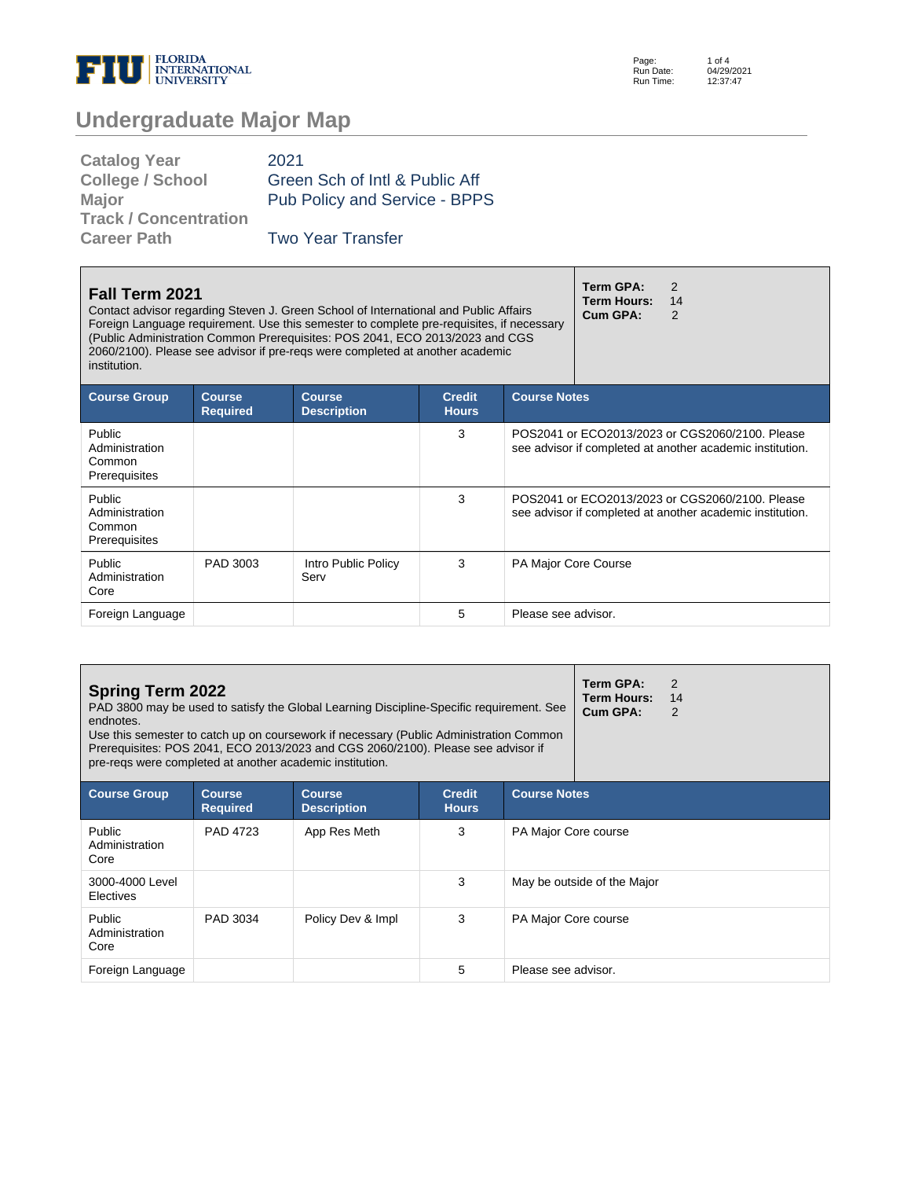

# **Undergraduate Major Map**

| <b>Catalog Year</b>          | 2021                           |
|------------------------------|--------------------------------|
| <b>College / School</b>      | Green Sch of Intl & Public Aff |
| Major                        | Pub Policy and Service - BPPS  |
| <b>Track / Concentration</b> |                                |
| <b>Career Path</b>           | <b>Two Year Transfer</b>       |
|                              |                                |

| Fall Term 2021<br>institution.                             |                                  | Contact advisor regarding Steven J. Green School of International and Public Affairs<br>Foreign Language requirement. Use this semester to complete pre-requisites, if necessary<br>(Public Administration Common Prerequisites: POS 2041, ECO 2013/2023 and CGS<br>2060/2100). Please see advisor if pre-regs were completed at another academic |                               |                             | Term GPA:<br><b>Term Hours:</b><br>Cum GPA: | $\mathcal{P}$<br>14<br>$\mathcal{P}$                                                                         |
|------------------------------------------------------------|----------------------------------|---------------------------------------------------------------------------------------------------------------------------------------------------------------------------------------------------------------------------------------------------------------------------------------------------------------------------------------------------|-------------------------------|-----------------------------|---------------------------------------------|--------------------------------------------------------------------------------------------------------------|
| <b>Course Group</b>                                        | <b>Course</b><br><b>Required</b> | <b>Course</b><br><b>Description</b>                                                                                                                                                                                                                                                                                                               | <b>Credit</b><br><b>Hours</b> | <b>Course Notes</b>         |                                             |                                                                                                              |
| <b>Public</b><br>Administration<br>Common<br>Prerequisites |                                  |                                                                                                                                                                                                                                                                                                                                                   | 3                             |                             |                                             | POS2041 or ECO2013/2023 or CGS2060/2100. Please<br>see advisor if completed at another academic institution. |
| Public<br>Administration<br>Common<br>Prerequisites        |                                  |                                                                                                                                                                                                                                                                                                                                                   | 3                             |                             |                                             | POS2041 or ECO2013/2023 or CGS2060/2100. Please<br>see advisor if completed at another academic institution. |
| Public<br>Administration<br>Core                           | PAD 3003                         | Intro Public Policy<br>Serv                                                                                                                                                                                                                                                                                                                       | 3                             | <b>PA Major Core Course</b> |                                             |                                                                                                              |
| Foreign Language                                           |                                  |                                                                                                                                                                                                                                                                                                                                                   | 5                             | Please see advisor.         |                                             |                                                                                                              |

| <b>Spring Term 2022</b><br>endnotes.<br>pre-regs were completed at another academic institution. |                                  | PAD 3800 may be used to satisfy the Global Learning Discipline-Specific requirement. See<br>Use this semester to catch up on coursework if necessary (Public Administration Common<br>Prerequisites: POS 2041, ECO 2013/2023 and CGS 2060/2100). Please see advisor if |                               |                      | Term GPA:<br>Term Hours:<br>Cum GPA: | 2<br>14<br>2 |
|--------------------------------------------------------------------------------------------------|----------------------------------|------------------------------------------------------------------------------------------------------------------------------------------------------------------------------------------------------------------------------------------------------------------------|-------------------------------|----------------------|--------------------------------------|--------------|
| <b>Course Group</b>                                                                              | <b>Course</b><br><b>Required</b> | <b>Course</b><br><b>Description</b>                                                                                                                                                                                                                                    | <b>Credit</b><br><b>Hours</b> | <b>Course Notes</b>  |                                      |              |
| Public<br>Administration<br>Core                                                                 | PAD 4723                         | App Res Meth                                                                                                                                                                                                                                                           | 3                             | PA Major Core course |                                      |              |
| 3000-4000 Level<br>Electives                                                                     |                                  |                                                                                                                                                                                                                                                                        | 3                             |                      | May be outside of the Major          |              |
| Public<br>Administration<br>Core                                                                 | PAD 3034                         | Policy Dev & Impl                                                                                                                                                                                                                                                      | 3                             | PA Major Core course |                                      |              |
| Foreign Language                                                                                 |                                  |                                                                                                                                                                                                                                                                        | 5                             | Please see advisor.  |                                      |              |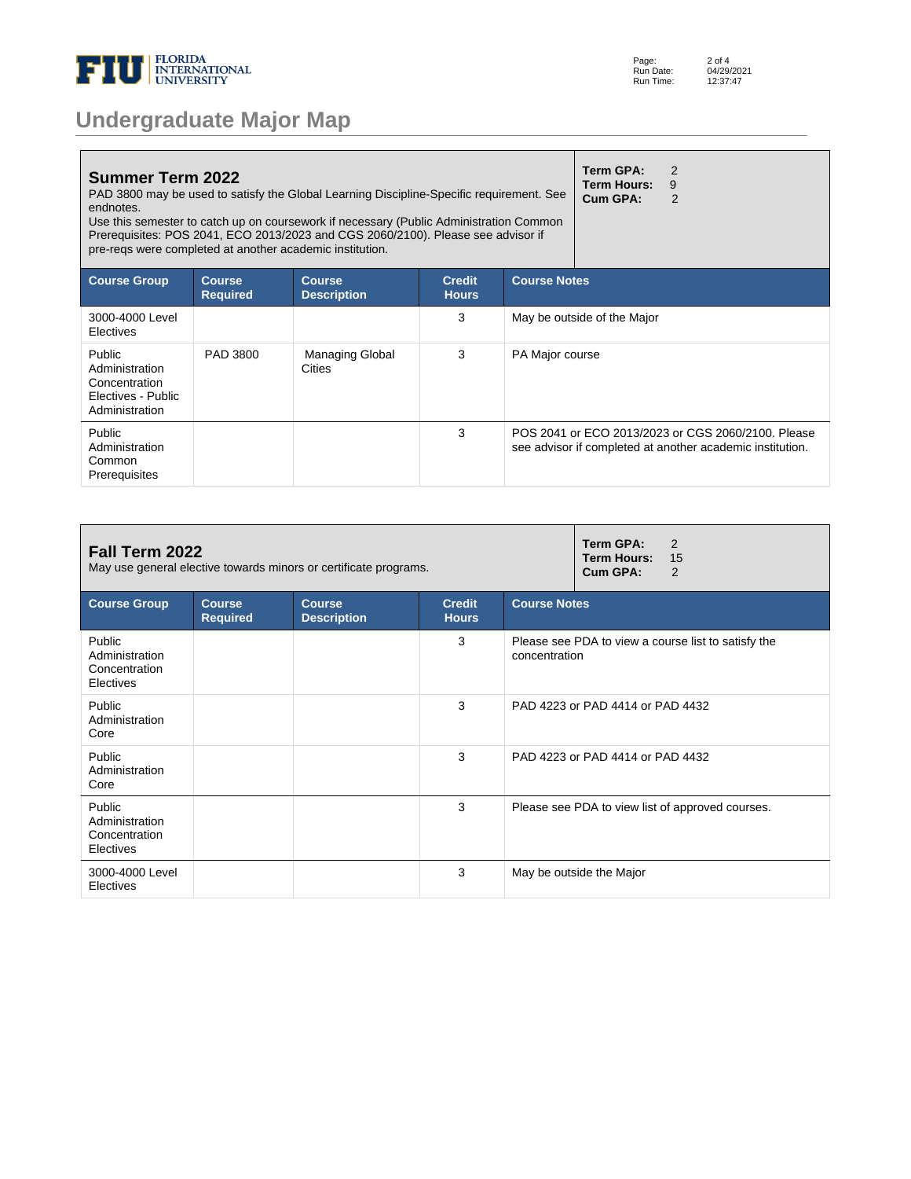

| <b>Undergraduate Major Map</b> |  |  |
|--------------------------------|--|--|
|--------------------------------|--|--|

| <b>Summer Term 2022</b><br>endnotes.                                                     |                                  | PAD 3800 may be used to satisfy the Global Learning Discipline-Specific requirement. See<br>Use this semester to catch up on coursework if necessary (Public Administration Common<br>Prerequisites: POS 2041, ECO 2013/2023 and CGS 2060/2100). Please see advisor if<br>pre-regs were completed at another academic institution. |                               |                     | Term GPA:<br><b>Term Hours:</b><br>Cum GPA: | $\overline{2}$<br>9<br>$\mathcal{P}$                                                                            |
|------------------------------------------------------------------------------------------|----------------------------------|------------------------------------------------------------------------------------------------------------------------------------------------------------------------------------------------------------------------------------------------------------------------------------------------------------------------------------|-------------------------------|---------------------|---------------------------------------------|-----------------------------------------------------------------------------------------------------------------|
| <b>Course Group</b>                                                                      | <b>Course</b><br><b>Required</b> | <b>Course</b><br><b>Description</b>                                                                                                                                                                                                                                                                                                | <b>Credit</b><br><b>Hours</b> | <b>Course Notes</b> |                                             |                                                                                                                 |
| 3000-4000 Level<br>Electives                                                             |                                  |                                                                                                                                                                                                                                                                                                                                    | 3                             |                     | May be outside of the Major                 |                                                                                                                 |
| <b>Public</b><br>Administration<br>Concentration<br>Electives - Public<br>Administration | PAD 3800                         | <b>Managing Global</b><br><b>Cities</b>                                                                                                                                                                                                                                                                                            | 3                             | PA Major course     |                                             |                                                                                                                 |
| Public<br>Administration<br>Common<br>Prerequisites                                      |                                  |                                                                                                                                                                                                                                                                                                                                    | 3                             |                     |                                             | POS 2041 or ECO 2013/2023 or CGS 2060/2100. Please<br>see advisor if completed at another academic institution. |

| Fall Term 2022<br>May use general elective towards minors or certificate programs. |                                  |                                     |                               | Term GPA:<br>$\mathcal{P}$<br><b>Term Hours:</b><br>15<br>Cum GPA:<br>2 |  |
|------------------------------------------------------------------------------------|----------------------------------|-------------------------------------|-------------------------------|-------------------------------------------------------------------------|--|
| <b>Course Group</b>                                                                | <b>Course</b><br><b>Required</b> | <b>Course</b><br><b>Description</b> | <b>Credit</b><br><b>Hours</b> | <b>Course Notes</b>                                                     |  |
| Public<br>Administration<br>Concentration<br>Electives                             |                                  |                                     | 3                             | Please see PDA to view a course list to satisfy the<br>concentration    |  |
| Public<br>Administration<br>Core                                                   |                                  |                                     | 3                             | PAD 4223 or PAD 4414 or PAD 4432                                        |  |
| Public<br>Administration<br>Core                                                   |                                  |                                     | 3                             | PAD 4223 or PAD 4414 or PAD 4432                                        |  |
| Public<br>Administration<br>Concentration<br>Electives                             |                                  |                                     | 3                             | Please see PDA to view list of approved courses.                        |  |
| 3000-4000 Level<br>Electives                                                       |                                  |                                     | 3                             | May be outside the Major                                                |  |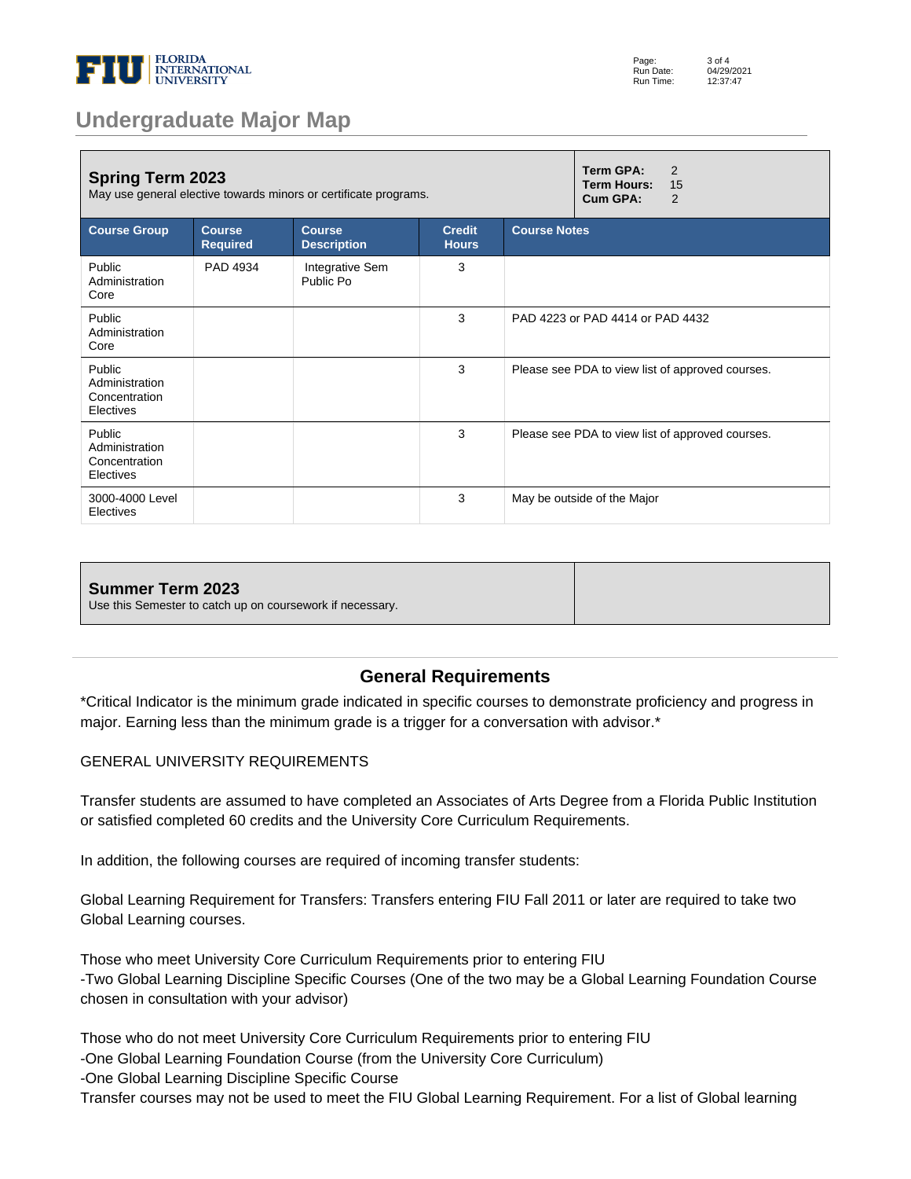

## **Undergraduate Major Map**

| <b>Spring Term 2023</b><br>May use general elective towards minors or certificate programs. |                                  |                                     |                               | Term GPA:<br>2<br><b>Term Hours:</b><br>15<br>Cum GPA:<br>2 |                                                  |
|---------------------------------------------------------------------------------------------|----------------------------------|-------------------------------------|-------------------------------|-------------------------------------------------------------|--------------------------------------------------|
| <b>Course Group</b>                                                                         | <b>Course</b><br><b>Required</b> | <b>Course</b><br><b>Description</b> | <b>Credit</b><br><b>Hours</b> | <b>Course Notes</b>                                         |                                                  |
| Public<br>Administration<br>Core                                                            | PAD 4934                         | Integrative Sem<br>Public Po        | 3                             |                                                             |                                                  |
| Public<br>Administration<br>Core                                                            |                                  |                                     | 3                             | PAD 4223 or PAD 4414 or PAD 4432                            |                                                  |
| Public<br>Administration<br>Concentration<br>Electives                                      |                                  |                                     | 3                             | Please see PDA to view list of approved courses.            |                                                  |
| Public<br>Administration<br>Concentration<br>Electives                                      |                                  |                                     | 3                             |                                                             | Please see PDA to view list of approved courses. |
| 3000-4000 Level<br>Electives                                                                |                                  |                                     | 3                             |                                                             | May be outside of the Major                      |

| Summer Term 2023<br>Use this Semester to catch up on coursework if necessary. |  |
|-------------------------------------------------------------------------------|--|
|                                                                               |  |

#### **General Requirements**

\*Critical Indicator is the minimum grade indicated in specific courses to demonstrate proficiency and progress in major. Earning less than the minimum grade is a trigger for a conversation with advisor.\*

#### GENERAL UNIVERSITY REQUIREMENTS

Transfer students are assumed to have completed an Associates of Arts Degree from a Florida Public Institution or satisfied completed 60 credits and the University Core Curriculum Requirements.

In addition, the following courses are required of incoming transfer students:

Global Learning Requirement for Transfers: Transfers entering FIU Fall 2011 or later are required to take two Global Learning courses.

Those who meet University Core Curriculum Requirements prior to entering FIU -Two Global Learning Discipline Specific Courses (One of the two may be a Global Learning Foundation Course chosen in consultation with your advisor)

Those who do not meet University Core Curriculum Requirements prior to entering FIU

-One Global Learning Foundation Course (from the University Core Curriculum)

-One Global Learning Discipline Specific Course

Transfer courses may not be used to meet the FIU Global Learning Requirement. For a list of Global learning